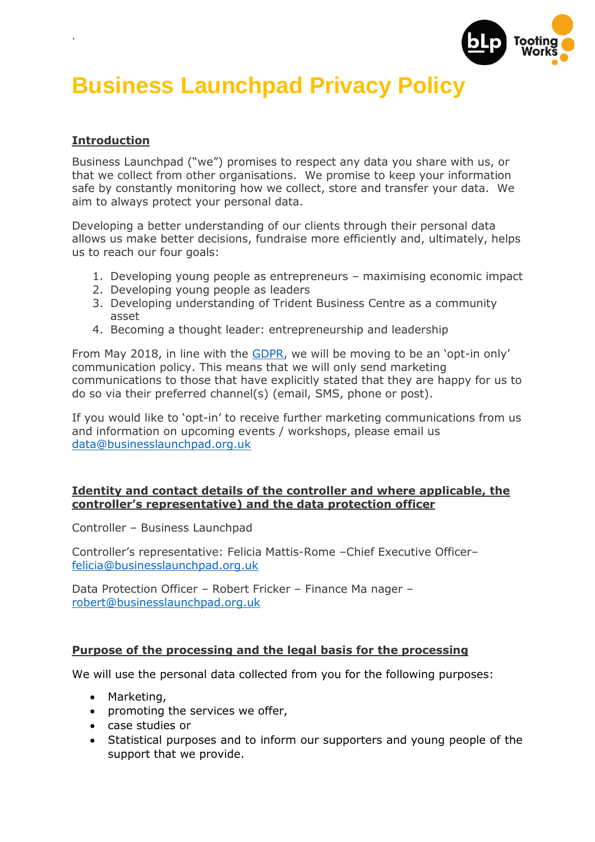

# **Business Launchpad Privacy Policy**

# **Introduction**

`

Business Launchpad ("we") promises to respect any data you share with us, or that we collect from other organisations. We promise to keep your information safe by constantly monitoring how we collect, store and transfer your data. We aim to always protect your personal data.

Developing a better understanding of our clients through their personal data allows us make better decisions, fundraise more efficiently and, ultimately, helps us to reach our four goals:

- 1. Developing young people as entrepreneurs maximising economic impact
- 2. Developing young people as leaders
- 3. Developing understanding of Trident Business Centre as a community asset
- 4. Becoming a thought leader: entrepreneurship and leadership

From May 2018, in line with the [GDPR,](https://www.eugdpr.org/) we will be moving to be an 'opt-in only' communication policy. This means that we will only send marketing communications to those that have explicitly stated that they are happy for us to do so via their preferred channel(s) (email, SMS, phone or post).

If you would like to 'opt-in' to receive further marketing communications from us and information on upcoming events / workshops, please email us [data@businesslaunchpad.org.uk](mailto:data@businesslaunchpad.org.uk)

# **Identity and contact details of the controller and where applicable, the controller's representative) and the data protection officer**

Controller – Business Launchpad

Controller's representative: Felicia Mattis-Rome –Chief Executive Officer– [felicia@businesslaunchpad.org.uk](mailto:felicia@businesslaunchpad.org.uk)

Data Protection Officer – Robert Fricker – Finance Ma nager – [robert@businesslaunchpad.org.uk](mailto:robert@businesslaunchpad.org.uk)

# **Purpose of the processing and the legal basis for the processing**

We will use the personal data collected from you for the following purposes:

- Marketing,
- promoting the services we offer,
- case studies or
- Statistical purposes and to inform our supporters and young people of the support that we provide.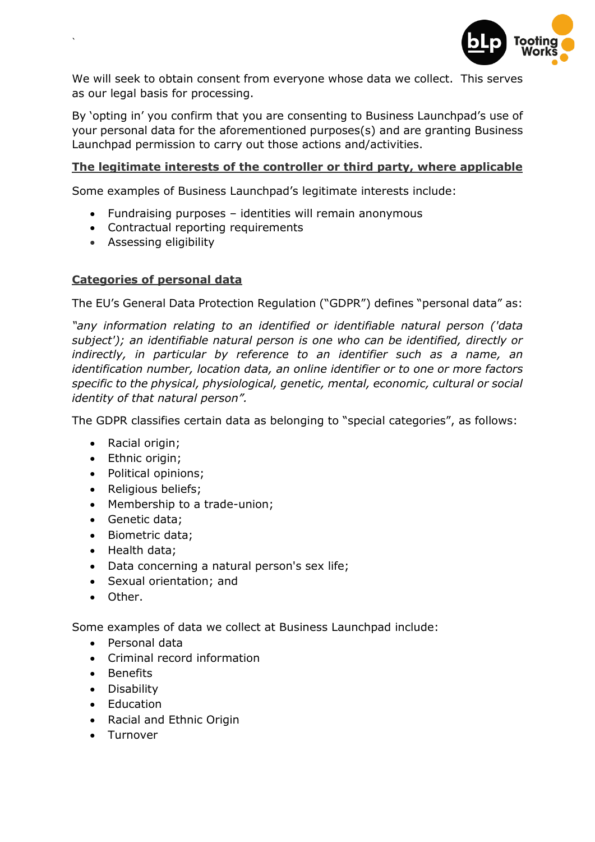

We will seek to obtain consent from everyone whose data we collect. This serves as our legal basis for processing.

By 'opting in' you confirm that you are consenting to Business Launchpad's use of your personal data for the aforementioned purposes(s) and are granting Business Launchpad permission to carry out those actions and/activities.

# **The legitimate interests of the controller or third party, where applicable**

Some examples of Business Launchpad's legitimate interests include:

- Fundraising purposes identities will remain anonymous
- Contractual reporting requirements
- Assessing eligibility

`

### **Categories of personal data**

The EU's General Data Protection Regulation ("GDPR") defines "personal data" as:

*"any information relating to an identified or identifiable natural person ('data subject'); an identifiable natural person is one who can be identified, directly or indirectly, in particular by reference to an identifier such as a name, an identification number, location data, an online identifier or to one or more factors specific to the physical, physiological, genetic, mental, economic, cultural or social identity of that natural person".*

The GDPR classifies certain data as belonging to "special categories", as follows:

- Racial origin;
- Ethnic origin:
- Political opinions;
- Religious beliefs:
- Membership to a trade-union;
- Genetic data:
- Biometric data;
- Health data;
- Data concerning a natural person's sex life;
- Sexual orientation; and
- Other.

Some examples of data we collect at Business Launchpad include:

- Personal data
- Criminal record information
- Benefits
- Disability
- Education
- Racial and Ethnic Origin
- Turnover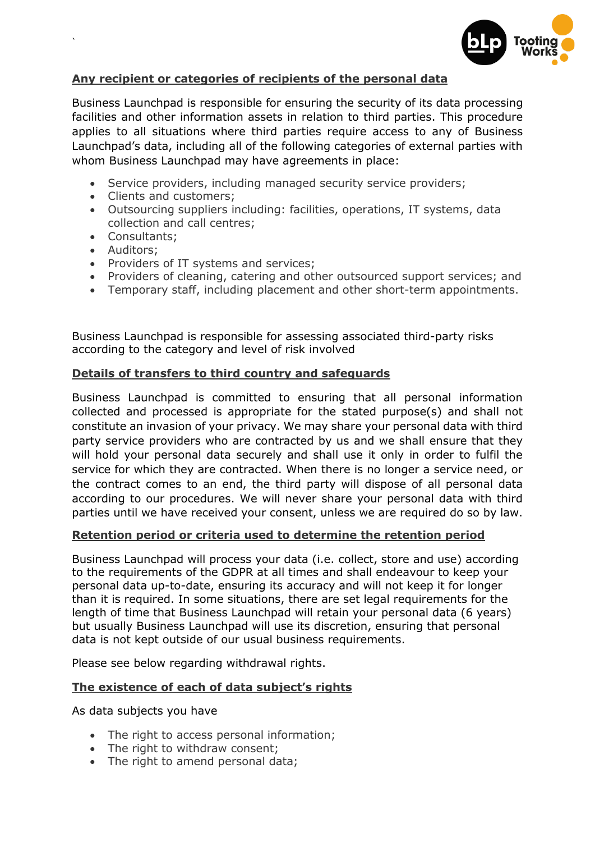

### **Any recipient or categories of recipients of the personal data**

Business Launchpad is responsible for ensuring the security of its data processing facilities and other information assets in relation to third parties. This procedure applies to all situations where third parties require access to any of Business Launchpad's data, including all of the following categories of external parties with whom Business Launchpad may have agreements in place:

- Service providers, including managed security service providers;
- Clients and customers:
- Outsourcing suppliers including: facilities, operations, IT systems, data collection and call centres;
- Consultants:
- Auditors:

`

- Providers of IT systems and services:
- Providers of cleaning, catering and other outsourced support services; and
- Temporary staff, including placement and other short-term appointments.

Business Launchpad is responsible for assessing associated third-party risks according to the category and level of risk involved

### **Details of transfers to third country and safeguards**

Business Launchpad is committed to ensuring that all personal information collected and processed is appropriate for the stated purpose(s) and shall not constitute an invasion of your privacy. We may share your personal data with third party service providers who are contracted by us and we shall ensure that they will hold your personal data securely and shall use it only in order to fulfil the service for which they are contracted. When there is no longer a service need, or the contract comes to an end, the third party will dispose of all personal data according to our procedures. We will never share your personal data with third parties until we have received your consent, unless we are required do so by law.

# **Retention period or criteria used to determine the retention period**

Business Launchpad will process your data (i.e. collect, store and use) according to the requirements of the GDPR at all times and shall endeavour to keep your personal data up-to-date, ensuring its accuracy and will not keep it for longer than it is required. In some situations, there are set legal requirements for the length of time that Business Launchpad will retain your personal data (6 years) but usually Business Launchpad will use its discretion, ensuring that personal data is not kept outside of our usual business requirements.

Please see below regarding withdrawal rights.

#### **The existence of each of data subject's rights**

As data subjects you have

- The right to access personal information:
- The right to withdraw consent:
- The right to amend personal data;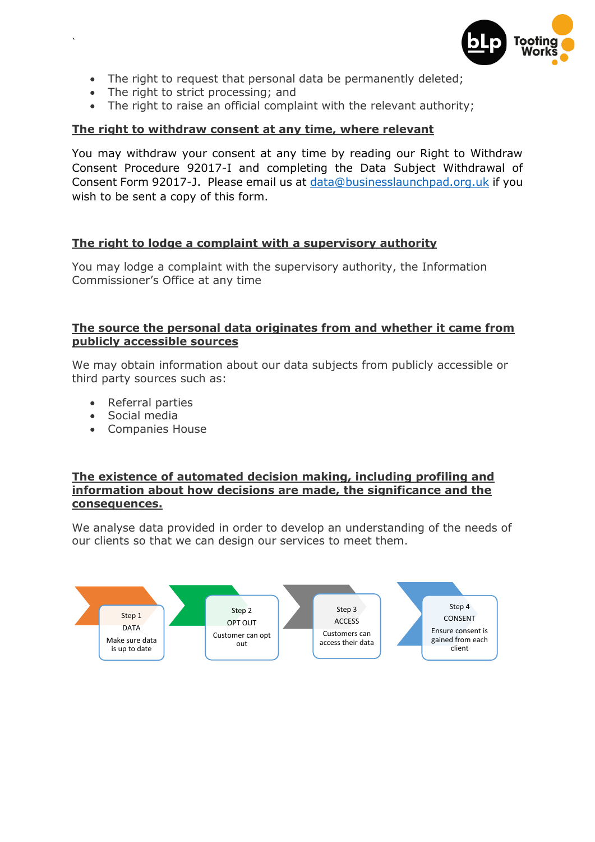

- The right to request that personal data be permanently deleted;
- The right to strict processing; and

`

• The right to raise an official complaint with the relevant authority;

# **The right to withdraw consent at any time, where relevant**

You may withdraw your consent at any time by reading our Right to Withdraw Consent Procedure 92017-I and completing the Data Subject Withdrawal of Consent Form 92017-J. Please email us at [data@businesslaunchpad.org.uk](mailto:data@businesslaunchpad.org.uk) if you wish to be sent a copy of this form.

# **The right to lodge a complaint with a supervisory authority**

You may lodge a complaint with the supervisory authority, the Information Commissioner's Office at any time

### **The source the personal data originates from and whether it came from publicly accessible sources**

We may obtain information about our data subjects from publicly accessible or third party sources such as:

- Referral parties
- Social media
- Companies House

#### **The existence of automated decision making, including profiling and information about how decisions are made, the significance and the consequences.**

We analyse data provided in order to develop an understanding of the needs of our clients so that we can design our services to meet them.